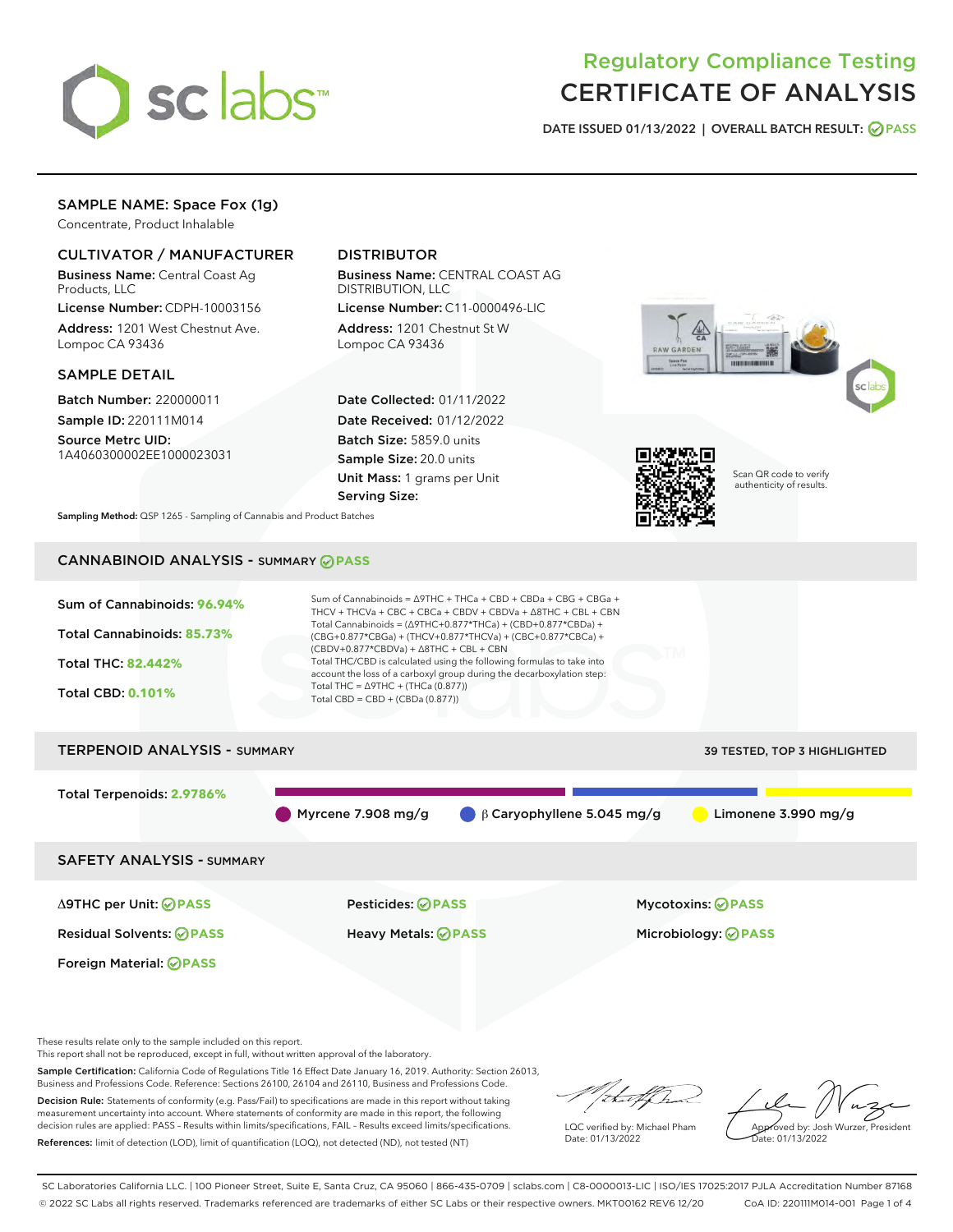

# Regulatory Compliance Testing CERTIFICATE OF ANALYSIS

DATE ISSUED 01/13/2022 | OVERALL BATCH RESULT: @ PASS

## SAMPLE NAME: Space Fox (1g)

Concentrate, Product Inhalable

## CULTIVATOR / MANUFACTURER

Business Name: Central Coast Ag Products, LLC

License Number: CDPH-10003156 Address: 1201 West Chestnut Ave. Lompoc CA 93436

#### SAMPLE DETAIL

Batch Number: 220000011 Sample ID: 220111M014

Source Metrc UID: 1A4060300002EE1000023031

## DISTRIBUTOR

Business Name: CENTRAL COAST AG DISTRIBUTION, LLC

License Number: C11-0000496-LIC Address: 1201 Chestnut St W Lompoc CA 93436

Date Collected: 01/11/2022 Date Received: 01/12/2022 Batch Size: 5859.0 units Sample Size: 20.0 units Unit Mass: 1 grams per Unit Serving Size:





Scan QR code to verify authenticity of results.

Sampling Method: QSP 1265 - Sampling of Cannabis and Product Batches

## CANNABINOID ANALYSIS - SUMMARY **PASS**



These results relate only to the sample included on this report.

This report shall not be reproduced, except in full, without written approval of the laboratory.

Sample Certification: California Code of Regulations Title 16 Effect Date January 16, 2019. Authority: Section 26013, Business and Professions Code. Reference: Sections 26100, 26104 and 26110, Business and Professions Code.

Decision Rule: Statements of conformity (e.g. Pass/Fail) to specifications are made in this report without taking measurement uncertainty into account. Where statements of conformity are made in this report, the following decision rules are applied: PASS – Results within limits/specifications, FAIL – Results exceed limits/specifications. References: limit of detection (LOD), limit of quantification (LOQ), not detected (ND), not tested (NT)

that f(ha

LQC verified by: Michael Pham Date: 01/13/2022

Approved by: Josh Wurzer, President ate: 01/13/2022

SC Laboratories California LLC. | 100 Pioneer Street, Suite E, Santa Cruz, CA 95060 | 866-435-0709 | sclabs.com | C8-0000013-LIC | ISO/IES 17025:2017 PJLA Accreditation Number 87168 © 2022 SC Labs all rights reserved. Trademarks referenced are trademarks of either SC Labs or their respective owners. MKT00162 REV6 12/20 CoA ID: 220111M014-001 Page 1 of 4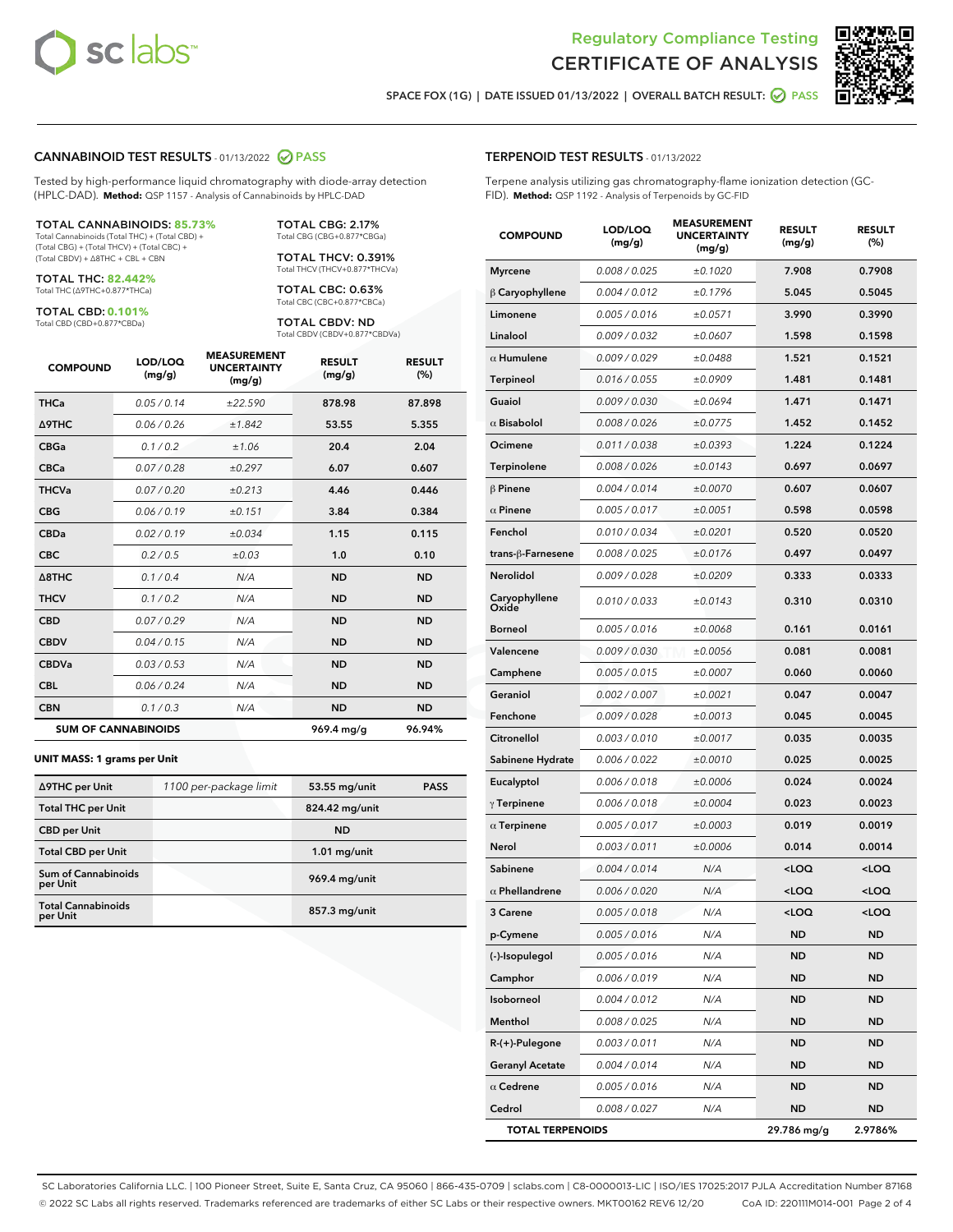



SPACE FOX (1G) | DATE ISSUED 01/13/2022 | OVERALL BATCH RESULT:  $\bigcirc$  PASS

#### CANNABINOID TEST RESULTS - 01/13/2022 2 PASS

Tested by high-performance liquid chromatography with diode-array detection (HPLC-DAD). **Method:** QSP 1157 - Analysis of Cannabinoids by HPLC-DAD

#### TOTAL CANNABINOIDS: **85.73%**

Total Cannabinoids (Total THC) + (Total CBD) + (Total CBG) + (Total THCV) + (Total CBC) + (Total CBDV) + ∆8THC + CBL + CBN

TOTAL THC: **82.442%** Total THC (∆9THC+0.877\*THCa)

TOTAL CBD: **0.101%**

Total CBD (CBD+0.877\*CBDa)

TOTAL CBG: 2.17% Total CBG (CBG+0.877\*CBGa)

TOTAL THCV: 0.391% Total THCV (THCV+0.877\*THCVa)

TOTAL CBC: 0.63% Total CBC (CBC+0.877\*CBCa)

TOTAL CBDV: ND Total CBDV (CBDV+0.877\*CBDVa)

| <b>COMPOUND</b>            | LOD/LOQ<br>(mg/g) | <b>MEASUREMENT</b><br><b>UNCERTAINTY</b><br>(mg/g) | <b>RESULT</b><br>(mg/g) | <b>RESULT</b><br>(%) |
|----------------------------|-------------------|----------------------------------------------------|-------------------------|----------------------|
| <b>THCa</b>                | 0.05/0.14         | ±22.590                                            | 878.98                  | 87.898               |
| <b>A9THC</b>               | 0.06 / 0.26       | ±1.842                                             | 53.55                   | 5.355                |
| <b>CBGa</b>                | 0.1 / 0.2         | ±1.06                                              | 20.4                    | 2.04                 |
| <b>CBCa</b>                | 0.07 / 0.28       | ±0.297                                             | 6.07                    | 0.607                |
| <b>THCVa</b>               | 0.07/0.20         | ±0.213                                             | 4.46                    | 0.446                |
| <b>CBG</b>                 | 0.06/0.19         | ±0.151                                             | 3.84                    | 0.384                |
| <b>CBDa</b>                | 0.02/0.19         | ±0.034                                             | 1.15                    | 0.115                |
| <b>CBC</b>                 | 0.2 / 0.5         | ±0.03                                              | 1.0                     | 0.10                 |
| $\triangle$ 8THC           | 0.1 / 0.4         | N/A                                                | <b>ND</b>               | <b>ND</b>            |
| <b>THCV</b>                | 0.1 / 0.2         | N/A                                                | <b>ND</b>               | <b>ND</b>            |
| <b>CBD</b>                 | 0.07/0.29         | N/A                                                | <b>ND</b>               | <b>ND</b>            |
| <b>CBDV</b>                | 0.04 / 0.15       | N/A                                                | <b>ND</b>               | <b>ND</b>            |
| <b>CBDVa</b>               | 0.03/0.53         | N/A                                                | <b>ND</b>               | <b>ND</b>            |
| <b>CBL</b>                 | 0.06 / 0.24       | N/A                                                | <b>ND</b>               | <b>ND</b>            |
| <b>CBN</b>                 | 0.1/0.3           | N/A                                                | <b>ND</b>               | <b>ND</b>            |
| <b>SUM OF CANNABINOIDS</b> |                   |                                                    | 969.4 mg/g              | 96.94%               |

#### **UNIT MASS: 1 grams per Unit**

| ∆9THC per Unit                        | 1100 per-package limit | 53.55 mg/unit   | <b>PASS</b> |
|---------------------------------------|------------------------|-----------------|-------------|
| <b>Total THC per Unit</b>             |                        | 824.42 mg/unit  |             |
| <b>CBD per Unit</b>                   |                        | <b>ND</b>       |             |
| <b>Total CBD per Unit</b>             |                        | $1.01$ mg/unit  |             |
| Sum of Cannabinoids<br>per Unit       |                        | 969.4 mg/unit   |             |
| <b>Total Cannabinoids</b><br>per Unit |                        | $857.3$ mg/unit |             |

| <b>COMPOUND</b>         | LOD/LOQ<br>(mg/g)    | <b>MEASUREMENT</b><br><b>UNCERTAINTY</b><br>(mg/g) | <b>RESULT</b><br>(mg/g)                         | <b>RESULT</b><br>$(\%)$ |
|-------------------------|----------------------|----------------------------------------------------|-------------------------------------------------|-------------------------|
| <b>Myrcene</b>          | 0.008 / 0.025        | ±0.1020                                            | 7.908                                           | 0.7908                  |
| $\beta$ Caryophyllene   | 0.004 / 0.012        | ±0.1796                                            | 5.045                                           | 0.5045                  |
| Limonene                | 0.005 / 0.016        | ±0.0571                                            | 3.990                                           | 0.3990                  |
| Linalool                | 0.009 / 0.032        | ±0.0607                                            | 1.598                                           | 0.1598                  |
| $\alpha$ Humulene       | 0.009 / 0.029        | ±0.0488                                            | 1.521                                           | 0.1521                  |
| Terpineol               | 0.016 / 0.055        | ±0.0909                                            | 1.481                                           | 0.1481                  |
| Guaiol                  | 0.009 / 0.030        | ±0.0694                                            | 1.471                                           | 0.1471                  |
| $\alpha$ Bisabolol      | 0.008 / 0.026        | ±0.0775                                            | 1.452                                           | 0.1452                  |
| Ocimene                 | 0.011 / 0.038        | ±0.0393                                            | 1.224                                           | 0.1224                  |
| <b>Terpinolene</b>      | 0.008 / 0.026        | ±0.0143                                            | 0.697                                           | 0.0697                  |
| $\beta$ Pinene          | 0.004 / 0.014        | ±0.0070                                            | 0.607                                           | 0.0607                  |
| $\alpha$ Pinene         | 0.005 / 0.017        | ±0.0051                                            | 0.598                                           | 0.0598                  |
| Fenchol                 | 0.010 / 0.034        | ±0.0201                                            | 0.520                                           | 0.0520                  |
| trans-β-Farnesene       | 0.008 / 0.025        | ±0.0176                                            | 0.497                                           | 0.0497                  |
| Nerolidol               | 0.009 / 0.028        | ±0.0209                                            | 0.333                                           | 0.0333                  |
| Caryophyllene<br>Oxide  | 0.010 / 0.033        | ±0.0143                                            | 0.310                                           | 0.0310                  |
| <b>Borneol</b>          | 0.005 / 0.016        | ±0.0068                                            | 0.161                                           | 0.0161                  |
| Valencene               | 0.009 / 0.030        | ±0.0056                                            | 0.081                                           | 0.0081                  |
| Camphene                | 0.005 / 0.015        | ±0.0007                                            | 0.060                                           | 0.0060                  |
| Geraniol                | 0.002 / 0.007        | ±0.0021                                            | 0.047                                           | 0.0047                  |
| Fenchone                | 0.009 / 0.028        | ±0.0013                                            | 0.045                                           | 0.0045                  |
| Citronellol             | 0.003 / 0.010        | ±0.0017                                            | 0.035                                           | 0.0035                  |
| Sabinene Hydrate        | 0.006 / 0.022        | ±0.0010                                            | 0.025                                           | 0.0025                  |
| Eucalyptol              | 0.006 / 0.018        | ±0.0006                                            | 0.024                                           | 0.0024                  |
| $\gamma$ Terpinene      | 0.006 / 0.018        | ±0.0004                                            | 0.023                                           | 0.0023                  |
| $\alpha$ Terpinene      | 0.005 / 0.017        | ±0.0003                                            | 0.019                                           | 0.0019                  |
| Nerol                   | 0.003 / 0.011        | ±0.0006                                            | 0.014                                           | 0.0014                  |
| Sabinene                | 0.004 / 0.014        | N/A                                                | <loq< th=""><th><loq< th=""></loq<></th></loq<> | <loq< th=""></loq<>     |
| $\alpha$ Phellandrene   | <i>0.006 / 0.020</i> | N/A                                                | <loq< th=""><th><loq< th=""></loq<></th></loq<> | <loq< th=""></loq<>     |
| 3 Carene                | 0.005 / 0.018        | N/A                                                | $\leq$ 00                                       | $\sim$ 0.0              |
| p-Cymene                | 0.005 / 0.016        | N/A                                                | ND                                              | ND                      |
| (-)-Isopulegol          | 0.005 / 0.016        | N/A                                                | ND                                              | ND                      |
| Camphor                 | 0.006 / 0.019        | N/A                                                | ND                                              | ND                      |
| Isoborneol              | 0.004 / 0.012        | N/A                                                | ND                                              | ND                      |
| Menthol                 | 0.008 / 0.025        | N/A                                                | ND                                              | <b>ND</b>               |
| R-(+)-Pulegone          | 0.003 / 0.011        | N/A                                                | ND                                              | ND                      |
| <b>Geranyl Acetate</b>  | 0.004 / 0.014        | N/A                                                | ND                                              | ND                      |
| $\alpha$ Cedrene        | 0.005 / 0.016        | N/A                                                | ND                                              | ND                      |
| Cedrol                  | 0.008 / 0.027        | N/A                                                | ND                                              | ND                      |
| <b>TOTAL TERPENOIDS</b> |                      |                                                    | 29.786 mg/g                                     | 2.9786%                 |

SC Laboratories California LLC. | 100 Pioneer Street, Suite E, Santa Cruz, CA 95060 | 866-435-0709 | sclabs.com | C8-0000013-LIC | ISO/IES 17025:2017 PJLA Accreditation Number 87168 © 2022 SC Labs all rights reserved. Trademarks referenced are trademarks of either SC Labs or their respective owners. MKT00162 REV6 12/20 CoA ID: 220111M014-001 Page 2 of 4

## TERPENOID TEST RESULTS - 01/13/2022

Terpene analysis utilizing gas chromatography-flame ionization detection (GC-FID). **Method:** QSP 1192 - Analysis of Terpenoids by GC-FID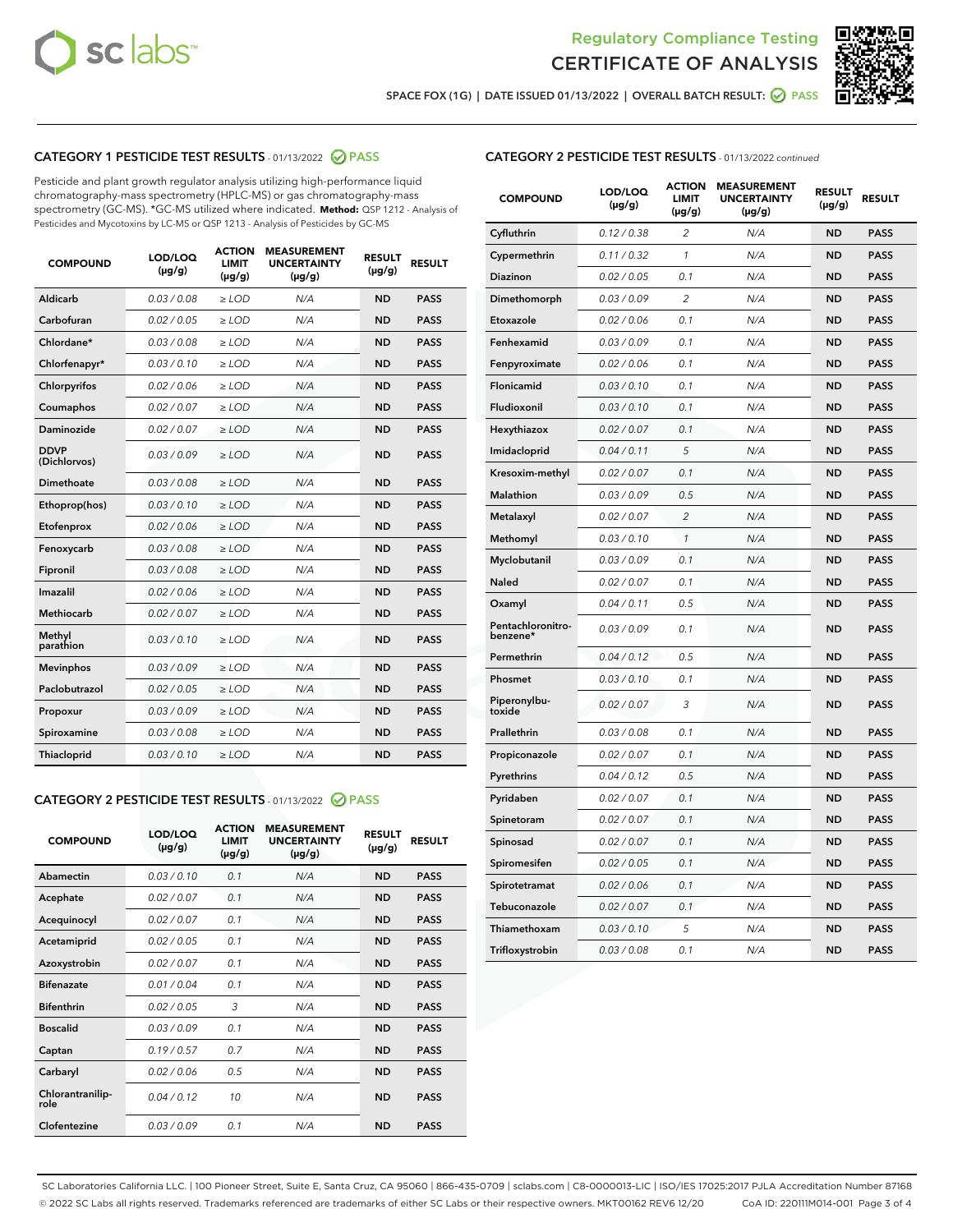



SPACE FOX (1G) | DATE ISSUED 01/13/2022 | OVERALL BATCH RESULT:  $\bigcirc$  PASS

## CATEGORY 1 PESTICIDE TEST RESULTS - 01/13/2022 2 PASS

Pesticide and plant growth regulator analysis utilizing high-performance liquid chromatography-mass spectrometry (HPLC-MS) or gas chromatography-mass spectrometry (GC-MS). \*GC-MS utilized where indicated. **Method:** QSP 1212 - Analysis of Pesticides and Mycotoxins by LC-MS or QSP 1213 - Analysis of Pesticides by GC-MS

| <b>COMPOUND</b>             | LOD/LOQ<br>$(\mu g/g)$ | <b>ACTION</b><br><b>LIMIT</b><br>$(\mu g/g)$ | <b>MEASUREMENT</b><br><b>UNCERTAINTY</b><br>$(\mu g/g)$ | <b>RESULT</b><br>$(\mu g/g)$ | <b>RESULT</b> |
|-----------------------------|------------------------|----------------------------------------------|---------------------------------------------------------|------------------------------|---------------|
| Aldicarb                    | 0.03 / 0.08            | $\ge$ LOD                                    | N/A                                                     | <b>ND</b>                    | <b>PASS</b>   |
| Carbofuran                  | 0.02 / 0.05            | $\ge$ LOD                                    | N/A                                                     | <b>ND</b>                    | <b>PASS</b>   |
| Chlordane*                  | 0.03 / 0.08            | $\ge$ LOD                                    | N/A                                                     | <b>ND</b>                    | <b>PASS</b>   |
| Chlorfenapyr*               | 0.03/0.10              | $\ge$ LOD                                    | N/A                                                     | <b>ND</b>                    | <b>PASS</b>   |
| Chlorpyrifos                | 0.02 / 0.06            | $\ge$ LOD                                    | N/A                                                     | <b>ND</b>                    | <b>PASS</b>   |
| Coumaphos                   | 0.02 / 0.07            | $\ge$ LOD                                    | N/A                                                     | <b>ND</b>                    | <b>PASS</b>   |
| Daminozide                  | 0.02 / 0.07            | $\ge$ LOD                                    | N/A                                                     | <b>ND</b>                    | <b>PASS</b>   |
| <b>DDVP</b><br>(Dichlorvos) | 0.03/0.09              | $\ge$ LOD                                    | N/A                                                     | <b>ND</b>                    | <b>PASS</b>   |
| Dimethoate                  | 0.03 / 0.08            | $\ge$ LOD                                    | N/A                                                     | <b>ND</b>                    | <b>PASS</b>   |
| Ethoprop(hos)               | 0.03/0.10              | $\ge$ LOD                                    | N/A                                                     | <b>ND</b>                    | <b>PASS</b>   |
| Etofenprox                  | 0.02/0.06              | $>$ LOD                                      | N/A                                                     | <b>ND</b>                    | <b>PASS</b>   |
| Fenoxycarb                  | 0.03 / 0.08            | $>$ LOD                                      | N/A                                                     | <b>ND</b>                    | <b>PASS</b>   |
| Fipronil                    | 0.03 / 0.08            | $>$ LOD                                      | N/A                                                     | <b>ND</b>                    | <b>PASS</b>   |
| Imazalil                    | 0.02 / 0.06            | $\ge$ LOD                                    | N/A                                                     | <b>ND</b>                    | <b>PASS</b>   |
| <b>Methiocarb</b>           | 0.02 / 0.07            | $\ge$ LOD                                    | N/A                                                     | <b>ND</b>                    | <b>PASS</b>   |
| Methyl<br>parathion         | 0.03/0.10              | $\ge$ LOD                                    | N/A                                                     | <b>ND</b>                    | <b>PASS</b>   |
| <b>Mevinphos</b>            | 0.03/0.09              | $\ge$ LOD                                    | N/A                                                     | <b>ND</b>                    | <b>PASS</b>   |
| Paclobutrazol               | 0.02 / 0.05            | $\ge$ LOD                                    | N/A                                                     | <b>ND</b>                    | <b>PASS</b>   |
| Propoxur                    | 0.03/0.09              | $\ge$ LOD                                    | N/A                                                     | <b>ND</b>                    | <b>PASS</b>   |
| Spiroxamine                 | 0.03 / 0.08            | $\ge$ LOD                                    | N/A                                                     | <b>ND</b>                    | <b>PASS</b>   |
| Thiacloprid                 | 0.03/0.10              | $\ge$ LOD                                    | N/A                                                     | <b>ND</b>                    | <b>PASS</b>   |

#### CATEGORY 2 PESTICIDE TEST RESULTS - 01/13/2022 2 PASS

| <b>COMPOUND</b>          | LOD/LOO<br>$(\mu g/g)$ | <b>ACTION</b><br>LIMIT<br>$(\mu g/g)$ | <b>MEASUREMENT</b><br><b>UNCERTAINTY</b><br>$(\mu g/g)$ | <b>RESULT</b><br>$(\mu g/g)$ | <b>RESULT</b> |  |
|--------------------------|------------------------|---------------------------------------|---------------------------------------------------------|------------------------------|---------------|--|
| Abamectin                | 0.03/0.10              | 0.1                                   | N/A                                                     | <b>ND</b>                    | <b>PASS</b>   |  |
| Acephate                 | 0.02/0.07              | 0.1                                   | N/A                                                     | <b>ND</b>                    | <b>PASS</b>   |  |
| Acequinocyl              | 0.02/0.07              | 0.1                                   | N/A                                                     | <b>ND</b>                    | <b>PASS</b>   |  |
| Acetamiprid              | 0.02 / 0.05            | 0.1                                   | N/A                                                     | <b>ND</b>                    | <b>PASS</b>   |  |
| Azoxystrobin             | 0.02/0.07              | 0.1                                   | N/A                                                     | <b>ND</b>                    | <b>PASS</b>   |  |
| <b>Bifenazate</b>        | 0.01 / 0.04            | 0.1                                   | N/A                                                     | <b>ND</b>                    | <b>PASS</b>   |  |
| <b>Bifenthrin</b>        | 0.02 / 0.05            | 3                                     | N/A                                                     | <b>ND</b>                    | <b>PASS</b>   |  |
| <b>Boscalid</b>          | 0.03/0.09              | 0.1                                   | N/A                                                     | <b>ND</b>                    | <b>PASS</b>   |  |
| Captan                   | 0.19/0.57              | 0.7                                   | N/A                                                     | <b>ND</b>                    | <b>PASS</b>   |  |
| Carbaryl                 | 0.02/0.06              | 0.5                                   | N/A                                                     | <b>ND</b>                    | <b>PASS</b>   |  |
| Chlorantranilip-<br>role | 0.04/0.12              | 10                                    | N/A                                                     | <b>ND</b>                    | <b>PASS</b>   |  |
| Clofentezine             | 0.03/0.09              | 0.1                                   | N/A                                                     | <b>ND</b>                    | <b>PASS</b>   |  |

| <b>CATEGORY 2 PESTICIDE TEST RESULTS</b> - 01/13/2022 continued |
|-----------------------------------------------------------------|
|-----------------------------------------------------------------|

| <b>COMPOUND</b>               | LOD/LOQ<br>(µg/g) | <b>ACTION</b><br>LIMIT<br>(µg/g) | <b>MEASUREMENT</b><br><b>UNCERTAINTY</b><br>(µg/g) | <b>RESULT</b><br>(µg/g) | <b>RESULT</b> |
|-------------------------------|-------------------|----------------------------------|----------------------------------------------------|-------------------------|---------------|
| Cyfluthrin                    | 0.12 / 0.38       | $\overline{c}$                   | N/A                                                | <b>ND</b>               | <b>PASS</b>   |
| Cypermethrin                  | 0.11/0.32         | 1                                | N/A                                                | <b>ND</b>               | <b>PASS</b>   |
| Diazinon                      | 0.02 / 0.05       | 0.1                              | N/A                                                | <b>ND</b>               | <b>PASS</b>   |
| Dimethomorph                  | 0.03 / 0.09       | 2                                | N/A                                                | <b>ND</b>               | <b>PASS</b>   |
| Etoxazole                     | 0.02 / 0.06       | 0.1                              | N/A                                                | <b>ND</b>               | <b>PASS</b>   |
| Fenhexamid                    | 0.03 / 0.09       | 0.1                              | N/A                                                | <b>ND</b>               | <b>PASS</b>   |
| Fenpyroximate                 | 0.02 / 0.06       | 0.1                              | N/A                                                | <b>ND</b>               | <b>PASS</b>   |
| Flonicamid                    | 0.03 / 0.10       | 0.1                              | N/A                                                | <b>ND</b>               | <b>PASS</b>   |
| Fludioxonil                   | 0.03 / 0.10       | 0.1                              | N/A                                                | <b>ND</b>               | <b>PASS</b>   |
| Hexythiazox                   | 0.02 / 0.07       | 0.1                              | N/A                                                | <b>ND</b>               | <b>PASS</b>   |
| Imidacloprid                  | 0.04 / 0.11       | 5                                | N/A                                                | <b>ND</b>               | <b>PASS</b>   |
| Kresoxim-methyl               | 0.02 / 0.07       | 0.1                              | N/A                                                | <b>ND</b>               | <b>PASS</b>   |
| Malathion                     | 0.03 / 0.09       | 0.5                              | N/A                                                | <b>ND</b>               | <b>PASS</b>   |
| Metalaxyl                     | 0.02 / 0.07       | 2                                | N/A                                                | <b>ND</b>               | <b>PASS</b>   |
| Methomyl                      | 0.03 / 0.10       | $\mathcal{I}$                    | N/A                                                | <b>ND</b>               | <b>PASS</b>   |
| Myclobutanil                  | 0.03 / 0.09       | 0.1                              | N/A                                                | <b>ND</b>               | <b>PASS</b>   |
| Naled                         | 0.02 / 0.07       | 0.1                              | N/A                                                | <b>ND</b>               | <b>PASS</b>   |
| Oxamyl                        | 0.04 / 0.11       | 0.5                              | N/A                                                | <b>ND</b>               | <b>PASS</b>   |
| Pentachloronitro-<br>benzene* | 0.03 / 0.09       | 0.1                              | N/A                                                | <b>ND</b>               | <b>PASS</b>   |
| Permethrin                    | 0.04 / 0.12       | 0.5                              | N/A                                                | <b>ND</b>               | <b>PASS</b>   |
| Phosmet                       | 0.03 / 0.10       | 0.1                              | N/A                                                | <b>ND</b>               | <b>PASS</b>   |
| Piperonylbu-<br>toxide        | 0.02 / 0.07       | 3                                | N/A                                                | <b>ND</b>               | <b>PASS</b>   |
| Prallethrin                   | 0.03 / 0.08       | 0.1                              | N/A                                                | <b>ND</b>               | <b>PASS</b>   |
| Propiconazole                 | 0.02 / 0.07       | 0.1                              | N/A                                                | <b>ND</b>               | <b>PASS</b>   |
| Pyrethrins                    | 0.04 / 0.12       | 0.5                              | N/A                                                | <b>ND</b>               | <b>PASS</b>   |
| Pyridaben                     | 0.02 / 0.07       | 0.1                              | N/A                                                | <b>ND</b>               | <b>PASS</b>   |
| Spinetoram                    | 0.02 / 0.07       | 0.1                              | N/A                                                | <b>ND</b>               | <b>PASS</b>   |
| Spinosad                      | 0.02 / 0.07       | 0.1                              | N/A                                                | <b>ND</b>               | <b>PASS</b>   |
| Spiromesifen                  | 0.02 / 0.05       | 0.1                              | N/A                                                | <b>ND</b>               | <b>PASS</b>   |
| Spirotetramat                 | 0.02 / 0.06       | 0.1                              | N/A                                                | ND                      | <b>PASS</b>   |
| Tebuconazole                  | 0.02 / 0.07       | 0.1                              | N/A                                                | <b>ND</b>               | <b>PASS</b>   |
| Thiamethoxam                  | 0.03 / 0.10       | 5                                | N/A                                                | <b>ND</b>               | <b>PASS</b>   |
| Trifloxystrobin               | 0.03 / 0.08       | 0.1                              | N/A                                                | <b>ND</b>               | <b>PASS</b>   |

SC Laboratories California LLC. | 100 Pioneer Street, Suite E, Santa Cruz, CA 95060 | 866-435-0709 | sclabs.com | C8-0000013-LIC | ISO/IES 17025:2017 PJLA Accreditation Number 87168 © 2022 SC Labs all rights reserved. Trademarks referenced are trademarks of either SC Labs or their respective owners. MKT00162 REV6 12/20 CoA ID: 220111M014-001 Page 3 of 4